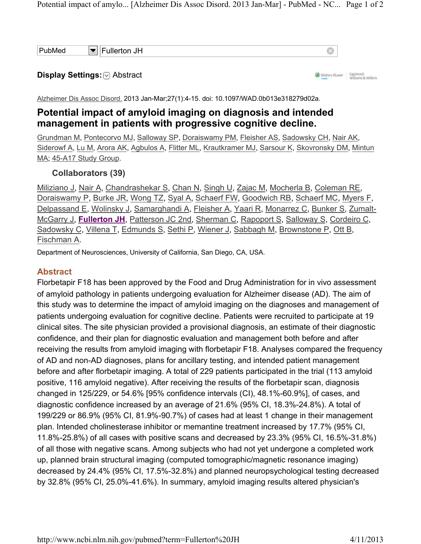#### Display Settings: **Abstract**

Wolters Kluwer | Lippincott

Alzheimer Dis Assoc Disord. 2013 Jan-Mar;27(1):4-15. doi: 10.1097/WAD.0b013e318279d02a.

# Potential impact of amyloid imaging on diagnosis and intended management in patients with progressive cognitive decline.

Grundman M, Pontecorvo MJ, Salloway SP, Doraiswamy PM, Fleisher AS, Sadowsky CH, Nair AK, Siderowf A, Lu M, Arora AK, Agbulos A, Flitter ML, Krautkramer MJ, Sarsour K, Skovronsky DM, Mintun MA; 45-A17 Study Group.

## Collaborators (39)

Miliziano J, Nair A, Chandrashekar S, Chan N, Singh U, Zajac M, Mocherla B, Coleman RE, Doraiswamy P, Burke JR, Wong TZ, Syal A, Schaerf FW, Goodwich RB, Schaerf MC, Myers F, Delpassand E, Wolinsky J, Samarghandi A, Fleisher A, Yaari R, Monarrez C, Bunker S, Zumalt-McGarry J, Fullerton JH, Patterson JC 2nd, Sherman C, Rapoport S, Salloway S, Cordeiro C, Sadowsky C, Villena T, Edmunds S, Sethi P, Wiener J, Sabbagh M, Brownstone P, Ott B, Fischman A.

Department of Neurosciences, University of California, San Diego, CA, USA.

#### Abstract

Florbetapir F18 has been approved by the Food and Drug Administration for in vivo assessment of amyloid pathology in patients undergoing evaluation for Alzheimer disease (AD). The aim of this study was to determine the impact of amyloid imaging on the diagnoses and management of patients undergoing evaluation for cognitive decline. Patients were recruited to participate at 19 clinical sites. The site physician provided a provisional diagnosis, an estimate of their diagnostic confidence, and their plan for diagnostic evaluation and management both before and after receiving the results from amyloid imaging with florbetapir F18. Analyses compared the frequency of AD and non-AD diagnoses, plans for ancillary testing, and intended patient management before and after florbetapir imaging. A total of 229 patients participated in the trial (113 amyloid positive, 116 amyloid negative). After receiving the results of the florbetapir scan, diagnosis changed in 125/229, or 54.6% [95% confidence intervals (CI), 48.1%-60.9%], of cases, and diagnostic confidence increased by an average of 21.6% (95% CI, 18.3%-24.8%). A total of 199/229 or 86.9% (95% CI, 81.9%-90.7%) of cases had at least 1 change in their management plan. Intended cholinesterase inhibitor or memantine treatment increased by 17.7% (95% CI, 11.8%-25.8%) of all cases with positive scans and decreased by 23.3% (95% CI, 16.5%-31.8%) of all those with negative scans. Among subjects who had not yet undergone a completed work up, planned brain structural imaging (computed tomographic/magnetic resonance imaging) decreased by 24.4% (95% CI, 17.5%-32.8%) and planned neuropsychological testing decreased by 32.8% (95% CI, 25.0%-41.6%). In summary, amyloid imaging results altered physician's